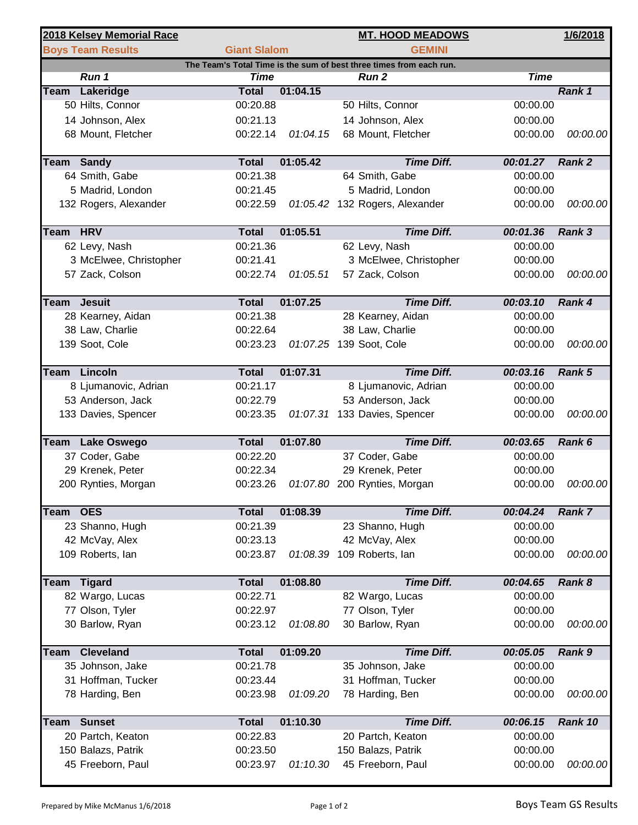|             | 2018 Kelsey Memorial Race |                     |          | <b>MT. HOOD MEADOWS</b>                                             |             | 1/6/2018      |
|-------------|---------------------------|---------------------|----------|---------------------------------------------------------------------|-------------|---------------|
|             | <b>Boys Team Results</b>  | <b>Giant Slalom</b> |          | <b>GEMINI</b>                                                       |             |               |
|             |                           |                     |          | The Team's Total Time is the sum of best three times from each run. |             |               |
|             | Run 1                     | <b>Time</b>         |          | <b>Run 2</b>                                                        | <b>Time</b> |               |
| Team        | Lakeridge                 | <b>Total</b>        | 01:04.15 |                                                                     |             | Rank 1        |
|             | 50 Hilts, Connor          | 00:20.88            |          | 50 Hilts, Connor                                                    | 00:00.00    |               |
|             | 14 Johnson, Alex          | 00:21.13            |          | 14 Johnson, Alex                                                    | 00:00.00    |               |
|             | 68 Mount, Fletcher        | 00:22.14            | 01:04.15 | 68 Mount, Fletcher                                                  | 00:00.00    | 00:00.00      |
|             | <b>Team Sandy</b>         | <b>Total</b>        | 01:05.42 | <b>Time Diff.</b>                                                   | 00:01.27    | Rank 2        |
|             | 64 Smith, Gabe            | 00:21.38            |          | 64 Smith, Gabe                                                      | 00:00.00    |               |
|             | 5 Madrid, London          | 00:21.45            |          | 5 Madrid, London                                                    | 00:00.00    |               |
|             | 132 Rogers, Alexander     | 00:22.59            |          | 01:05.42 132 Rogers, Alexander                                      | 00:00.00    | 00:00.00      |
| Team HRV    |                           | <b>Total</b>        | 01:05.51 | <b>Time Diff.</b>                                                   | 00:01.36    | <b>Rank 3</b> |
|             | 62 Levy, Nash             | 00:21.36            |          | 62 Levy, Nash                                                       | 00:00.00    |               |
|             | 3 McElwee, Christopher    | 00:21.41            |          | 3 McElwee, Christopher                                              | 00:00.00    |               |
|             | 57 Zack, Colson           | 00:22.74            | 01:05.51 | 57 Zack, Colson                                                     | 00:00.00    | 00:00.00      |
|             | <b>Team Jesuit</b>        | <b>Total</b>        | 01:07.25 | <b>Time Diff.</b>                                                   | 00:03.10    | Rank 4        |
|             | 28 Kearney, Aidan         | 00:21.38            |          | 28 Kearney, Aidan                                                   | 00:00.00    |               |
|             | 38 Law, Charlie           | 00:22.64            |          | 38 Law, Charlie                                                     | 00:00.00    |               |
|             | 139 Soot, Cole            | 00:23.23            |          | 01:07.25 139 Soot, Cole                                             | 00:00.00    | 00:00.00      |
|             |                           |                     |          |                                                                     |             |               |
|             | Team Lincoln              | <b>Total</b>        | 01:07.31 | <b>Time Diff.</b>                                                   | 00:03.16    | Rank 5        |
|             | 8 Ljumanovic, Adrian      | 00:21.17            |          | 8 Ljumanovic, Adrian                                                | 00:00.00    |               |
|             | 53 Anderson, Jack         | 00:22.79            |          | 53 Anderson, Jack                                                   | 00:00.00    |               |
|             | 133 Davies, Spencer       | 00:23.35            |          | 01:07.31 133 Davies, Spencer                                        | 00:00.00    | 00:00.00      |
|             | Team Lake Oswego          | <b>Total</b>        | 01:07.80 | <b>Time Diff.</b>                                                   | 00:03.65    | Rank 6        |
|             | 37 Coder, Gabe            | 00:22.20            |          | 37 Coder, Gabe                                                      | 00:00.00    |               |
|             | 29 Krenek, Peter          | 00:22.34            |          | 29 Krenek, Peter                                                    | 00:00.00    |               |
|             | 200 Rynties, Morgan       | 00:23.26            |          | 01:07.80 200 Rynties, Morgan                                        | 00:00.00    | 00:00.00      |
|             |                           |                     |          |                                                                     |             |               |
| Team        | <b>OES</b>                | <b>Total</b>        | 01:08.39 | <b>Time Diff.</b>                                                   | 00:04.24    | Rank 7        |
|             | 23 Shanno, Hugh           | 00:21.39            |          | 23 Shanno, Hugh                                                     | 00:00.00    |               |
|             | 42 McVay, Alex            | 00:23.13            |          | 42 McVay, Alex                                                      | 00:00.00    |               |
|             | 109 Roberts, lan          | 00:23.87            |          | 01:08.39 109 Roberts, lan                                           | 00:00.00    | 00:00.00      |
| <b>Team</b> | <b>Tigard</b>             | <b>Total</b>        | 01:08.80 | <b>Time Diff.</b>                                                   | 00:04.65    | Rank 8        |
|             | 82 Wargo, Lucas           | 00:22.71            |          | 82 Wargo, Lucas                                                     | 00:00.00    |               |
|             | 77 Olson, Tyler           | 00:22.97            |          | 77 Olson, Tyler                                                     | 00:00.00    |               |
|             | 30 Barlow, Ryan           | 00:23.12            | 01:08.80 | 30 Barlow, Ryan                                                     | 00:00.00    | 00:00.00      |
|             |                           |                     |          |                                                                     |             |               |
| <b>Team</b> | <b>Cleveland</b>          | <b>Total</b>        | 01:09.20 | <b>Time Diff.</b>                                                   | 00:05.05    | Rank 9        |
|             | 35 Johnson, Jake          | 00:21.78            |          | 35 Johnson, Jake                                                    | 00:00.00    |               |
|             | 31 Hoffman, Tucker        | 00:23.44            |          | 31 Hoffman, Tucker                                                  | 00:00.00    |               |
|             | 78 Harding, Ben           | 00:23.98            | 01:09.20 | 78 Harding, Ben                                                     | 00:00.00    | 00:00.00      |
| <b>Team</b> | <b>Sunset</b>             | <b>Total</b>        | 01:10.30 | <b>Time Diff.</b>                                                   | 00:06.15    | Rank 10       |
|             | 20 Partch, Keaton         | 00:22.83            |          | 20 Partch, Keaton                                                   | 00:00.00    |               |
|             | 150 Balazs, Patrik        | 00:23.50            |          | 150 Balazs, Patrik                                                  | 00:00.00    |               |
|             | 45 Freeborn, Paul         | 00:23.97            | 01:10.30 | 45 Freeborn, Paul                                                   | 00:00.00    | 00:00.00      |
|             |                           |                     |          |                                                                     |             |               |